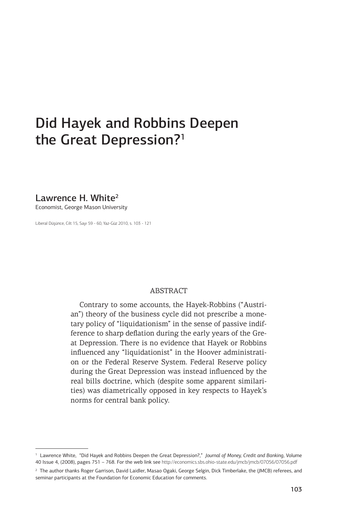# Did Hayek and Robbins Deepen the Great Depression?<sup>1</sup>

Lawrence H. White<sup>2</sup>

Economist, George Mason University

Liberal Düşünce, Cilt 15, Sayı 59 - 60, Yaz-Güz 2010, s. 103 - 121

#### ABSTRACT

Contrary to some accounts, the Hayek-Robbins ("Austrian") theory of the business cycle did not prescribe a monetary policy of "liquidationism" in the sense of passive indifference to sharp deflation during the early years of the Great Depression. There is no evidence that Hayek or Robbins influenced any "liquidationist" in the Hoover administration or the Federal Reserve System. Federal Reserve policy during the Great Depression was instead influenced by the real bills doctrine, which (despite some apparent similarities) was diametrically opposed in key respects to Hayek's norms for central bank policy.

<sup>1</sup> Lawrence White, "Did Hayek and Robbins Deepen the Great Depression?," *Journal of Money, Credit and Banking*, Volume 40 Issue 4, (2008), pages 751 – 768. For the web link see http://economics.sbs.ohio-state.edu/jmcb/jmcb/07056/07056.pdf

<sup>2</sup> The author thanks Roger Garrison, David Laidler, Masao Ogaki, George Selgin, Dick Timberlake, the (JMCB) referees, and seminar participants at the Foundation for Economic Education for comments.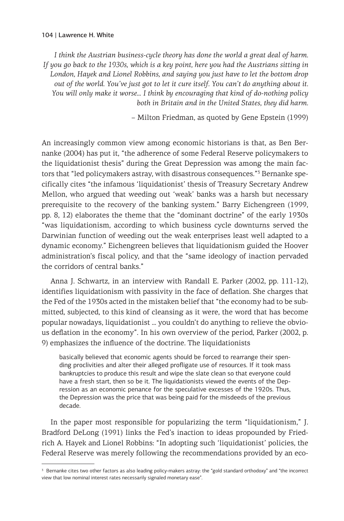*I think the Austrian business-cycle theory has done the world a great deal of harm. If you go back to the 1930s, which is a key point, here you had the Austrians sitting in London, Hayek and Lionel Robbins, and saying you just have to let the bottom drop out of the world. You've just got to let it cure itself. You can't do anything about it. You will only make it worse… I think by encouraging that kind of do-nothing policy both in Britain and in the United States, they did harm.*

– Milton Friedman, as quoted by Gene Epstein (1999)

An increasingly common view among economic historians is that, as Ben Bernanke (2004) has put it, "the adherence of some Federal Reserve policymakers to the liquidationist thesis" during the Great Depression was among the main factors that "led policymakers astray, with disastrous consequences."<sup>3</sup> Bernanke specifically cites "the infamous 'liquidationist' thesis of Treasury Secretary Andrew Mellon, who argued that weeding out 'weak' banks was a harsh but necessary prerequisite to the recovery of the banking system." Barry Eichengreen (1999, pp. 8, 12) elaborates the theme that the "dominant doctrine" of the early 1930s "was liquidationism, according to which business cycle downturns served the Darwinian function of weeding out the weak enterprises least well adapted to a dynamic economy." Eichengreen believes that liquidationism guided the Hoover administration's fiscal policy, and that the "same ideology of inaction pervaded the corridors of central banks."

Anna J. Schwartz, in an interview with Randall E. Parker (2002, pp. 111-12), identifies liquidationism with passivity in the face of deflation. She charges that the Fed of the 1930s acted in the mistaken belief that "the economy had to be submitted, subjected, to this kind of cleansing as it were, the word that has become popular nowadays, liquidationist … you couldn't do anything to relieve the obvious deflation in the economy". In his own overview of the period, Parker (2002, p. 9) emphasizes the influence of the doctrine. The liquidationists

basically believed that economic agents should be forced to rearrange their spending proclivities and alter their alleged profligate use of resources. If it took mass bankruptcies to produce this result and wipe the slate clean so that everyone could have a fresh start, then so be it. The liquidationists viewed the events of the Depression as an economic penance for the speculative excesses of the 1920s. Thus, the Depression was the price that was being paid for the misdeeds of the previous decade.

In the paper most responsible for popularizing the term "liquidationism," J. Bradford DeLong (1991) links the Fed's inaction to ideas propounded by Friedrich A. Hayek and Lionel Robbins: "In adopting such 'liquidationist' policies, the Federal Reserve was merely following the recommendations provided by an eco-

<sup>&</sup>lt;sup>3</sup> Bernanke cites two other factors as also leading policy-makers astray: the "gold standard orthodoxy" and "the incorrect view that low nominal interest rates necessarily signaled monetary ease".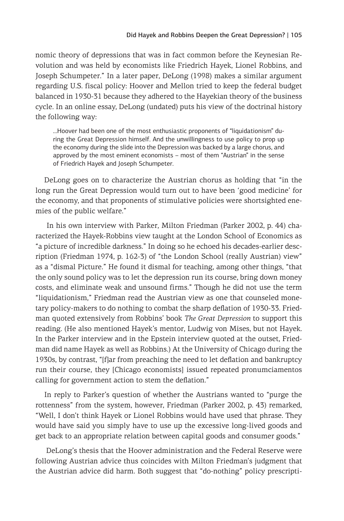nomic theory of depressions that was in fact common before the Keynesian Revolution and was held by economists like Friedrich Hayek, Lionel Robbins, and Joseph Schumpeter." In a later paper, DeLong (1998) makes a similar argument regarding U.S. fiscal policy: Hoover and Mellon tried to keep the federal budget balanced in 1930-31 because they adhered to the Hayekian theory of the business cycle. In an online essay, DeLong (undated) puts his view of the doctrinal history the following way:

…Hoover had been one of the most enthusiastic proponents of "liquidationism" during the Great Depression himself. And the unwillingness to use policy to prop up the economy during the slide into the Depression was backed by a large chorus, and approved by the most eminent economists – most of them "Austrian" in the sense of Friedrich Hayek and Joseph Schumpeter.

DeLong goes on to characterize the Austrian chorus as holding that "in the long run the Great Depression would turn out to have been 'good medicine' for the economy, and that proponents of stimulative policies were shortsighted enemies of the public welfare."

 In his own interview with Parker, Milton Friedman (Parker 2002, p. 44) characterized the Hayek-Robbins view taught at the London School of Economics as "a picture of incredible darkness." In doing so he echoed his decades-earlier description (Friedman 1974, p. 162-3) of "the London School (really Austrian) view" as a "dismal Picture." He found it dismal for teaching, among other things, "that the only sound policy was to let the depression run its course, bring down money costs, and eliminate weak and unsound firms." Though he did not use the term "liquidationism," Friedman read the Austrian view as one that counseled monetary policy-makers to do nothing to combat the sharp deflation of 1930-33. Friedman quoted extensively from Robbins' book *The Great Depression* to support this reading. (He also mentioned Hayek's mentor, Ludwig von Mises, but not Hayek. In the Parker interview and in the Epstein interview quoted at the outset, Friedman did name Hayek as well as Robbins.) At the University of Chicago during the 1930s, by contrast, "[f]ar from preaching the need to let deflation and bankruptcy run their course, they [Chicago economists] issued repeated pronumciamentos calling for government action to stem the deflation."

In reply to Parker's question of whether the Austrians wanted to "purge the rottenness" from the system, however, Friedman (Parker 2002, p. 43) remarked, "Well, I don't think Hayek or Lionel Robbins would have used that phrase. They would have said you simply have to use up the excessive long-lived goods and get back to an appropriate relation between capital goods and consumer goods."

 DeLong's thesis that the Hoover administration and the Federal Reserve were following Austrian advice thus coincides with Milton Friedman's judgment that the Austrian advice did harm. Both suggest that "do-nothing" policy prescripti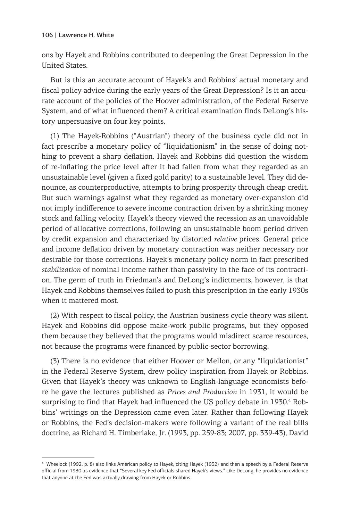ons by Hayek and Robbins contributed to deepening the Great Depression in the United States.

But is this an accurate account of Hayek's and Robbins' actual monetary and fiscal policy advice during the early years of the Great Depression? Is it an accurate account of the policies of the Hoover administration, of the Federal Reserve System, and of what influenced them? A critical examination finds DeLong's history unpersuasive on four key points.

(1) The Hayek-Robbins ("Austrian") theory of the business cycle did not in fact prescribe a monetary policy of "liquidationism" in the sense of doing nothing to prevent a sharp deflation. Hayek and Robbins did question the wisdom of re-inflating the price level after it had fallen from what they regarded as an unsustainable level (given a fixed gold parity) to a sustainable level. They did denounce, as counterproductive, attempts to bring prosperity through cheap credit. But such warnings against what they regarded as monetary over-expansion did not imply indifference to severe income contraction driven by a shrinking money stock and falling velocity. Hayek's theory viewed the recession as an unavoidable period of allocative corrections, following an unsustainable boom period driven by credit expansion and characterized by distorted *relative* prices. General price and income deflation driven by monetary contraction was neither necessary nor desirable for those corrections. Hayek's monetary policy norm in fact prescribed *stabilization* of nominal income rather than passivity in the face of its contraction. The germ of truth in Friedman's and DeLong's indictments, however, is that Hayek and Robbins themselves failed to push this prescription in the early 1930s when it mattered most.

(2) With respect to fiscal policy, the Austrian business cycle theory was silent. Hayek and Robbins did oppose make-work public programs, but they opposed them because they believed that the programs would misdirect scarce resources, not because the programs were financed by public-sector borrowing.

(3) There is no evidence that either Hoover or Mellon, or any "liquidationist" in the Federal Reserve System, drew policy inspiration from Hayek or Robbins. Given that Hayek's theory was unknown to English-language economists before he gave the lectures published as *Prices and Production* in 1931, it would be surprising to find that Hayek had influenced the US policy debate in 1930.<sup>4</sup> Robbins' writings on the Depression came even later. Rather than following Hayek or Robbins, the Fed's decision-makers were following a variant of the real bills doctrine, as Richard H. Timberlake, Jr. (1993, pp. 259-83; 2007, pp. 339-43), David

<sup>4</sup> Wheelock (1992, p. 8) also links American policy to Hayek, citing Hayek (1932) and then a speech by a Federal Reserve official from 1930 as evidence that "Several key Fed officials shared Hayek's views." Like DeLong, he provides no evidence that anyone at the Fed was actually drawing from Hayek or Robbins.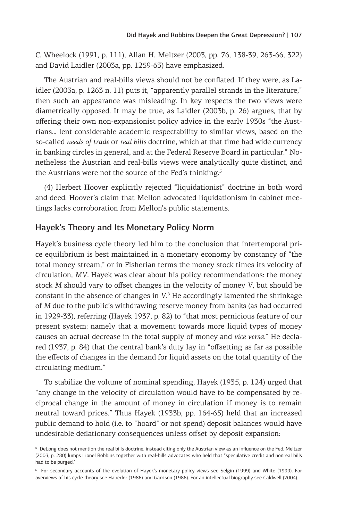C. Wheelock (1991, p. 111), Allan H. Meltzer (2003, pp. 76, 138-39, 263-66, 322) and David Laidler (2003a, pp. 1259-63) have emphasized.

The Austrian and real-bills views should not be conflated. If they were, as Laidler (2003a, p. 1263 n. 11) puts it, "apparently parallel strands in the literature," then such an appearance was misleading. In key respects the two views were diametrically opposed. It may be true, as Laidler (2003b, p. 26) argues, that by offering their own non-expansionist policy advice in the early 1930s "the Austrians… lent considerable academic respectability to similar views, based on the so-called *needs of trade* or *real bills* doctrine, which at that time had wide currency in banking circles in general, and at the Federal Reserve Board in particular." Nonetheless the Austrian and real-bills views were analytically quite distinct, and the Austrians were not the source of the Fed's thinking.<sup>5</sup>

(4) Herbert Hoover explicitly rejected "liquidationist" doctrine in both word and deed. Hoover's claim that Mellon advocated liquidationism in cabinet meetings lacks corroboration from Mellon's public statements.

## Hayek's Theory and Its Monetary Policy Norm

Hayek's business cycle theory led him to the conclusion that intertemporal price equilibrium is best maintained in a monetary economy by constancy of "the total money stream," or in Fisherian terms the money stock times its velocity of circulation, *MV*. Hayek was clear about his policy recommendations: the money stock *M* should vary to offset changes in the velocity of money *V*, but should be constant in the absence of changes in V.<sup>6</sup> He accordingly lamented the shrinkage of *M* due to the public's withdrawing reserve money from banks (as had occurred in 1929-33), referring (Hayek 1937, p. 82) to "that most pernicious feature of our present system: namely that a movement towards more liquid types of money causes an actual decrease in the total supply of money and *vice versa*." He declared (1937, p. 84) that the central bank's duty lay in "offsetting as far as possible the effects of changes in the demand for liquid assets on the total quantity of the circulating medium."

To stabilize the volume of nominal spending, Hayek (1935, p. 124) urged that "any change in the velocity of circulation would have to be compensated by reciprocal change in the amount of money in circulation if money is to remain neutral toward prices." Thus Hayek (1933b, pp. 164-65) held that an increased public demand to hold (i.e. to "hoard" or not spend) deposit balances would have undesirable deflationary consequences unless offset by deposit expansion:

<sup>5</sup> DeLong does not mention the real bills doctrine, instead citing only the Austrian view as an influence on the Fed. Meltzer (2003, p. 280) lumps Lionel Robbins together with real-bills advocates who held that "speculative credit and nonreal bills had to be purged."

<sup>6</sup> For secondary accounts of the evolution of Hayek's monetary policy views see Selgin (1999) and White (1999). For overviews of his cycle theory see Haberler (1986) and Garrison (1986). For an intellectual biography see Caldwell (2004).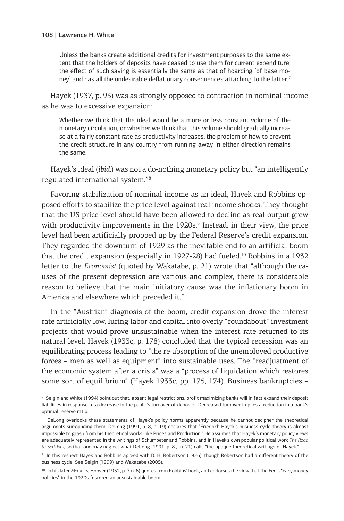Unless the banks create additional credits for investment purposes to the same extent that the holders of deposits have ceased to use them for current expenditure, the effect of such saving is essentially the same as that of hoarding [of base money] and has all the undesirable deflationary consequences attaching to the latter.<sup>7</sup>

Hayek (1937, p. 93) was as strongly opposed to contraction in nominal income as he was to excessive expansion:

Whether we think that the ideal would be a more or less constant volume of the monetary circulation, or whether we think that this volume should gradually increase at a fairly constant rate as productivity increases, the problem of how to prevent the credit structure in any country from running away in either direction remains the same.

Hayek's ideal (*ibid.*) was not a do-nothing monetary policy but "an intelligently regulated international system."8

Favoring stabilization of nominal income as an ideal, Hayek and Robbins opposed efforts to stabilize the price level against real income shocks. They thought that the US price level should have been allowed to decline as real output grew with productivity improvements in the 1920s.<sup>9</sup> Instead, in their view, the price level had been artificially propped up by the Federal Reserve's credit expansion. They regarded the downturn of 1929 as the inevitable end to an artificial boom that the credit expansion (especially in  $1927-28$ ) had fueled.<sup>10</sup> Robbins in a 1932 letter to the *Economist* (quoted by Wakatabe, p. 21) wrote that "although the causes of the present depression are various and complex, there is considerable reason to believe that the main initiatory cause was the inflationary boom in America and elsewhere which preceded it."

In the "Austrian" diagnosis of the boom, credit expansion drove the interest rate artificially low, luring labor and capital into overly "roundabout" investment projects that would prove unsustainable when the interest rate returned to its natural level. Hayek (1933c, p. 178) concluded that the typical recession was an equilibrating process leading to "the re-absorption of the unemployed productive forces – men as well as equipment" into sustainable uses. The "readjustment of the economic system after a crisis" was a "process of liquidation which restores some sort of equilibrium" (Hayek 1933c, pp. 175, 174). Business bankruptcies –

<sup>7</sup> Selgin and White (1994) point out that, absent legal restrictions, profit maximizing banks will in fact expand their deposit liabilities in response to a decrease in the public's turnover of deposits. Decreased turnover implies a reduction in a bank's optimal reserve ratio.

<sup>8</sup> DeLong overlooks these statements of Hayek's policy norms apparently because he cannot decipher the theoretical arguments surrounding them. DeLong (1991, p. 8, n. 19) declares that "Friedrich Hayek's business cycle theory is almost impossible to grasp from his theoretical works, like Prices and Production." He assumes that Hayek's monetary policy views are adequately represented in the writings of Schumpeter and Robbins, and in Hayek's own popular political work *The Road to Serfdom*, so that one may neglect what DeLong (1991, p. 8., fn. 21) calls "the opaque theoretical writings of Hayek."

<sup>9</sup> In this respect Hayek and Robbins agreed with D. H. Robertson (1926), though Robertson had a different theory of the business cycle. See Selgin (1999) and Wakatabe (2005).

<sup>10</sup> In his later *Memoirs*, Hoover (1952, p. 7 n. 6) quotes from Robbins' book, and endorses the view that the Fed's "easy money policies" in the 1920s fostered an unsustainable boom.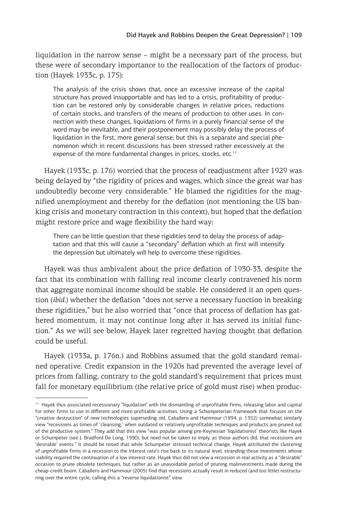liquidation in the narrow sense – might be a necessary part of the process, but these were of secondary importance to the reallocation of the factors of production (Hayek 1933c, p. 175):

The analysis of the crisis shows that, once an excessive increase of the capital structure has proved insupportable and has led to a crisis, profitability of production can be restored only by considerable changes in relative prices, reductions of certain stocks, and transfers of the means of production to other uses. In connection with these changes, liquidations of firms in a purely financial sense of the word may be inevitable, and their postponement may possibly delay the process of liquidation in the first, more general sense; but this is a separate and special phenomenon which in recent discussions has been stressed rather excessively at the expense of the more fundamental changes in prices, stocks, etc.<sup>11</sup>

Hayek (1933c, p. 176) worried that the process of readjustment after 1929 was being delayed by "the rigidity of prices and wages, which since the great war has undoubtedly become very considerable." He blamed the rigidities for the magnified unemployment and thereby for the deflation (not mentioning the US banking crisis and monetary contraction in this context), but hoped that the deflation might restore price and wage flexibility the hard way:

There can be little question that these rigidities tend to delay the process of adaptation and that this will cause a "secondary" deflation which at first will intensify the depression but ultimately will help to overcome these rigidities.

Hayek was thus ambivalent about the price deflation of 1930-33, despite the fact that its combination with falling real income clearly contravened his norm that aggregate nominal income should be stable. He considered it an open question (*ibid.*) whether the deflation "does not serve a necessary function in breaking these rigidities," but he also worried that "once that process of deflation has gathered momentum, it may not continue long after it has served its initial function." As we will see below, Hayek later regretted having thought that deflation could be useful.

Hayek (1933a, p. 176n.) and Robbins assumed that the gold standard remained operative. Credit expansion in the 1920s had prevented the average level of prices from falling, contrary to the gold standard's requirement that prices must fall for monetary equilibrium (the relative price of gold must rise) when produc-

<sup>&</sup>lt;sup>11</sup> Hayek thus associated recessionary "liquidation" with the dismantling of unprofitable firms, releasing labor and capital for other firms to use in different and more profitable activities. Using a Schumpeterian framework that focuses on the "creative destruction" of new technologies superseding old, Caballero and Hammour (1994, p. 1352) somewhat similarly view "recessions as times of 'cleansing,' when outdated or relatively unprofitable techniques and products are pruned out of the productive system." They add that this view "was popular among pre-Keynesian 'liquidationist' theorists like Hayek or Schumpeter (see J. Bradford De Long, 1990), but need not be taken to imply, as those authors did, that recessions are 'desirable' events." It should be noted that while Schumpeter stressed technical change, Hayek attributed the clustering of unprofitable firms in a recession to the interest rate's rise back to its natural level, stranding those investments whose viability required the continuation of a low interest rate. Hayek thus did not view a recession in real activity as a "desirable" occasion to prune obsolete techniques, but rather as an unavoidable period of pruning malinvestments made during the cheap-credit boom. Caballero and Hammour (2005) find that recessions actually result in reduced (and too little) restructuring over the entire cycle, calling this a "reverse liquidationist" view.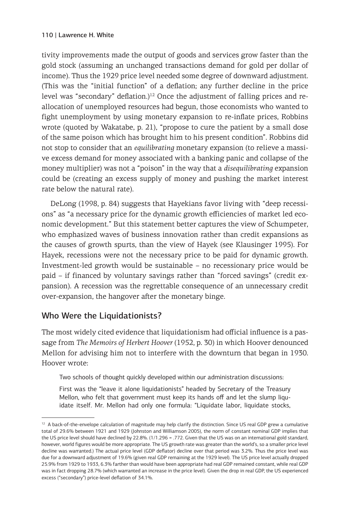tivity improvements made the output of goods and services grow faster than the gold stock (assuming an unchanged transactions demand for gold per dollar of income). Thus the 1929 price level needed some degree of downward adjustment. (This was the "initial function" of a deflation; any further decline in the price level was "secondary" deflation.)<sup>12</sup> Once the adjustment of falling prices and reallocation of unemployed resources had begun, those economists who wanted to fight unemployment by using monetary expansion to re-inflate prices, Robbins wrote (quoted by Wakatabe, p. 21), "propose to cure the patient by a small dose of the same poison which has brought him to his present condition". Robbins did not stop to consider that an *equilibrating* monetary expansion (to relieve a massive excess demand for money associated with a banking panic and collapse of the money multiplier) was not a "poison" in the way that a *disequilibrating* expansion could be (creating an excess supply of money and pushing the market interest rate below the natural rate).

DeLong (1998, p. 84) suggests that Hayekians favor living with "deep recessions" as "a necessary price for the dynamic growth efficiencies of market led economic development." But this statement better captures the view of Schumpeter, who emphasized waves of business innovation rather than credit expansions as the causes of growth spurts, than the view of Hayek (see Klausinger 1995). For Hayek, recessions were not the necessary price to be paid for dynamic growth. Investment-led growth would be sustainable – no recessionary price would be paid – if financed by voluntary savings rather than "forced savings" (credit expansion). A recession was the regrettable consequence of an unnecessary credit over-expansion, the hangover after the monetary binge.

## Who Were the Liquidationists?

The most widely cited evidence that liquidationism had official influence is a passage from *The Memoirs of Herbert Hoover* (1952, p. 30) in which Hoover denounced Mellon for advising him not to interfere with the downturn that began in 1930. Hoover wrote:

Two schools of thought quickly developed within our administration discussions:

First was the "leave it alone liquidationists" headed by Secretary of the Treasury Mellon, who felt that government must keep its hands off and let the slump liquidate itself. Mr. Mellon had only one formula: "Liquidate labor, liquidate stocks,

<sup>&</sup>lt;sup>12</sup> A back-of-the-envelope calculation of magnitude may help clarify the distinction. Since US real GDP grew a cumulative total of 29.6% between 1921 and 1929 (Johnston and Williamson 2005), the norm of constant nominal GDP implies that the US price level should have declined by 22.8%. (1/1.296 = .772. Given that the US was on an international gold standard, however, world figures would be more appropriate. The US growth rate was greater than the world's, so a smaller price level decline was warranted.) The actual price level (GDP deflator) decline over that period was 3.2%. Thus the price level was due for a downward adjustment of 19.6% (given real GDP remaining at the 1929 level). The US price level actually dropped 25.9% from 1929 to 1933, 6.3% farther than would have been appropriate had real GDP remained constant, while real GDP was in fact dropping 28.7% (which warranted an increase in the price level). Given the drop in real GDP, the US experienced excess ("secondary") price-level deflation of 34.1%.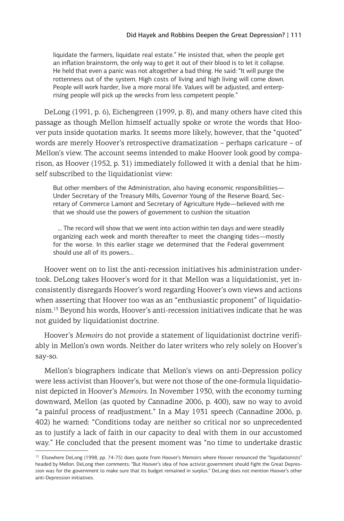liquidate the farmers, liquidate real estate." He insisted that, when the people get an inflation brainstorm, the only way to get it out of their blood is to let it collapse. He held that even a panic was not altogether a bad thing. He said: "It will purge the rottenness out of the system. High costs of living and high living will come down. People will work harder, live a more moral life. Values will be adjusted, and enterprising people will pick up the wrecks from less competent people."

DeLong (1991, p. 6), Eichengreen (1999, p. 8), and many others have cited this passage as though Mellon himself actually spoke or wrote the words that Hoover puts inside quotation marks. It seems more likely, however, that the "quoted" words are merely Hoover's retrospective dramatization – perhaps caricature – of Mellon's view. The account seems intended to make Hoover look good by comparison, as Hoover (1952, p. 31) immediately followed it with a denial that he himself subscribed to the liquidationist view:

But other members of the Administration, also having economic responsibilities— Under Secretary of the Treasury Mills, Governor Young of the Reserve Board, Secretary of Commerce Lamont and Secretary of Agriculture Hyde—believed with me that we should use the powers of government to cushion the situation

 … The record will show that we went into action within ten days and were steadily organizing each week and month thereafter to meet the changing tides—mostly for the worse. In this earlier stage we determined that the Federal government should use all of its powers…

Hoover went on to list the anti-recession initiatives his administration undertook. DeLong takes Hoover's word for it that Mellon was a liquidationist, yet inconsistently disregards Hoover's word regarding Hoover's own views and actions when asserting that Hoover too was as an "enthusiastic proponent" of liquidationism.13 Beyond his words, Hoover's anti-recession initiatives indicate that he was not guided by liquidationist doctrine.

Hoover's *Memoirs* do not provide a statement of liquidationist doctrine verifiably in Mellon's own words. Neither do later writers who rely solely on Hoover's say-so.

Mellon's biographers indicate that Mellon's views on anti-Depression policy were less activist than Hoover's, but were not those of the one-formula liquidationist depicted in Hoover's *Memoirs*. In November 1930, with the economy turning downward, Mellon (as quoted by Cannadine 2006, p. 400), saw no way to avoid "a painful process of readjustment." In a May 1931 speech (Cannadine 2006, p. 402) he warned: "Conditions today are neither so critical nor so unprecedented as to justify a lack of faith in our capacity to deal with them in our accustomed way." He concluded that the present moment was "no time to undertake drastic

<sup>&</sup>lt;sup>13</sup> Elsewhere DeLong (1998, pp. 74-75) does quote from Hoover's Memoirs where Hoover renounced the "liquidationists" headed by Mellon. DeLong then comments: "But Hoover's idea of how activist government should fight the Great Depression was for the government to make sure that its budget remained in surplus." DeLong does not mention Hoover's other anti-Depression initiatives.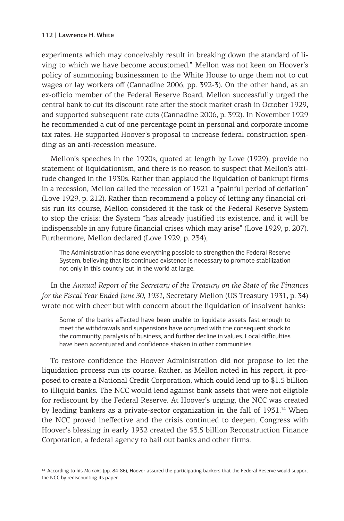experiments which may conceivably result in breaking down the standard of living to which we have become accustomed." Mellon was not keen on Hoover's policy of summoning businessmen to the White House to urge them not to cut wages or lay workers off (Cannadine 2006, pp. 392-3). On the other hand, as an ex-officio member of the Federal Reserve Board, Mellon successfully urged the central bank to cut its discount rate after the stock market crash in October 1929, and supported subsequent rate cuts (Cannadine 2006, p. 392). In November 1929 he recommended a cut of one percentage point in personal and corporate income tax rates. He supported Hoover's proposal to increase federal construction spending as an anti-recession measure.

Mellon's speeches in the 1920s, quoted at length by Love (1929), provide no statement of liquidationism, and there is no reason to suspect that Mellon's attitude changed in the 1930s. Rather than applaud the liquidation of bankrupt firms in a recession, Mellon called the recession of 1921 a "painful period of deflation" (Love 1929, p. 212). Rather than recommend a policy of letting any financial crisis run its course, Mellon considered it the task of the Federal Reserve System to stop the crisis: the System "has already justified its existence, and it will be indispensable in any future financial crises which may arise" (Love 1929, p. 207). Furthermore, Mellon declared (Love 1929, p. 234),

The Administration has done everything possible to strengthen the Federal Reserve System, believing that its continued existence is necessary to promote stabilization not only in this country but in the world at large.

In the *Annual Report of the Secretary of the Treasury on the State of the Finances for the Fiscal Year Ended June 30, 1931*, Secretary Mellon (US Treasury 1931, p. 34) wrote not with cheer but with concern about the liquidation of insolvent banks:

Some of the banks affected have been unable to liquidate assets fast enough to meet the withdrawals and suspensions have occurred with the consequent shock to the community, paralysis of business, and further decline in values. Local difficulties have been accentuated and confidence shaken in other communities.

To restore confidence the Hoover Administration did not propose to let the liquidation process run its course. Rather, as Mellon noted in his report, it proposed to create a National Credit Corporation, which could lend up to \$1.5 billion to illiquid banks. The NCC would lend against bank assets that were not eligible for rediscount by the Federal Reserve. At Hoover's urging, the NCC was created by leading bankers as a private-sector organization in the fall of 1931.<sup>14</sup> When the NCC proved ineffective and the crisis continued to deepen, Congress with Hoover's blessing in early 1932 created the \$3.5 billion Reconstruction Finance Corporation, a federal agency to bail out banks and other firms.

<sup>&</sup>lt;sup>14</sup> According to his *Memoirs* (pp. 84-86), Hoover assured the participating bankers that the Federal Reserve would support the NCC by rediscounting its paper.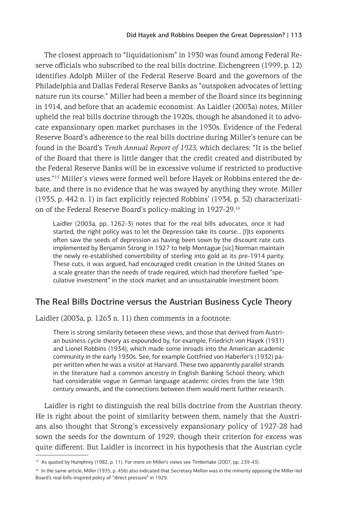The closest approach to "liquidationism" in 1930 was found among Federal Reserve officials who subscribed to the real bills doctrine. Eichengreen (1999, p. 12) identifies Adolph Miller of the Federal Reserve Board and the governors of the Philadelphia and Dallas Federal Reserve Banks as "outspoken advocates of letting nature run its course." Miller had been a member of the Board since its beginning in 1914, and before that an academic economist. As Laidler (2003a) notes, Miller upheld the real bills doctrine through the 1920s, though he abandoned it to advocate expansionary open market purchases in the 1930s. Evidence of the Federal Reserve Board's adherence to the real bills doctrine during Miller's tenure can be found in the Board's *Tenth Annual Report of 1923*, which declares: "It is the belief of the Board that there is little danger that the credit created and distributed by the Federal Reserve Banks will be in excessive volume if restricted to productive uses."<sup>15</sup> Miller's views were formed well before Hayek or Robbins entered the debate, and there is no evidence that he was swayed by anything they wrote. Miller (1935, p. 442 n. 1) in fact explicitly rejected Robbins' (1934, p. 52) characterization of the Federal Reserve Board's policy-making in 1927-29.16

Laidler (2003a, pp. 1262-3) notes that for the real bills advocates, once it had started, the right policy was to let the Depression take its course… [I]ts exponents often saw the seeds of depression as having been sown by the discount rate cuts implemented by Benjamin Strong in 1927 to help Montague [sic] Norman maintain the newly re-established convertibility of sterling into gold at its pre-1914 parity. These cuts, it was argued, had encouraged credit creation in the United States on a scale greater than the needs of trade required, which had therefore fuelled "speculative investment" in the stock market and an unsustainable investment boom.

## The Real Bills Doctrine versus the Austrian Business Cycle Theory

Laidler (2003a, p. 1263 n. 11) then comments in a footnote:

There is strong similarity between these views, and those that derived from Austrian business cycle theory as expounded by, for example, Friedrich von Hayek (1931) and Lionel Robbins (1934), which made some inroads into the American academic community in the early 1930s. See, for example Gottfried von Haberler's (1932) paper written when he was a visitor at Harvard. These two apparently parallel strands in the literature had a common ancestry in English Banking School theory, which had considerable vogue in German language academic circles from the late 19th century onwards, and the connections between them would merit further research.

Laidler is right to distinguish the real bills doctrine from the Austrian theory. He is right about the point of similarity between them, namely that the Austrians also thought that Strong's excessively expansionary policy of 1927-28 had sown the seeds for the downturn of 1929, though their criterion for excess was quite different. But Laidler is incorrect in his hypothesis that the Austrian cycle

<sup>15</sup> As quoted by Humphrey (1982, p. 11). For more on Miller's views see Timberlake (2007, pp. 239-43).

<sup>&</sup>lt;sup>16</sup> In the same article, Miller (1935, p. 456) also indicated that Secretary Mellon was in the minority opposing the Miller-led Board's real-bills-inspired policy of "direct pressure" in 1929.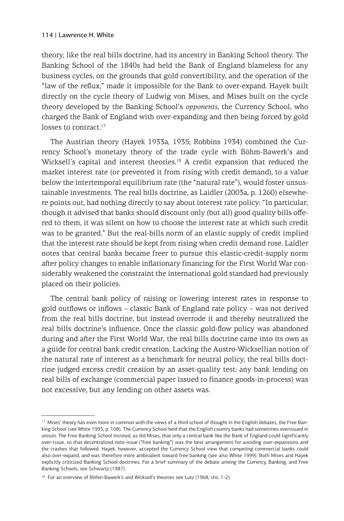theory, like the real bills doctrine, had its ancestry in Banking School theory. The Banking School of the 1840s had held the Bank of England blameless for any business cycles, on the grounds that gold convertibility, and the operation of the "law of the reflux," made it impossible for the Bank to over-expand. Hayek built directly on the cycle theory of Ludwig von Mises, and Mises built on the cycle theory developed by the Banking School's *opponents*, the Currency School, who charged the Bank of England with over-expanding and then being forced by gold losses to contract.<sup>17</sup>

The Austrian theory (Hayek 1933a, 1935; Robbins 1934) combined the Currency School's monetary theory of the trade cycle with Böhm-Bawerk's and Wicksell's capital and interest theories.<sup>18</sup> A credit expansion that reduced the market interest rate (or prevented it from rising with credit demand), to a value below the intertemporal equilibrium rate (the "natural rate"), would foster unsustainable investments. The real bills doctrine, as Laidler (2003a, p. 1260) elsewhere points out, had nothing directly to say about interest rate policy: "In particular, though it advised that banks should discount only (but all) good quality bills offered to them, it was silent on how to choose the interest rate at which such credit was to be granted." But the real-bills norm of an elastic supply of credit implied that the interest rate should be kept from rising when credit demand rose. Laidler notes that central banks became freer to pursue this elastic-credit-supply norm after policy changes to enable inflationary financing for the First World War considerably weakened the constraint the international gold standard had previously placed on their policies.

The central bank policy of raising or lowering interest rates in response to gold outflows or inflows – classic Bank of England rate policy – was not derived from the real bills doctrine, but instead overrode it and thereby neutralized the real bills doctrine's influence. Once the classic gold-flow policy was abandoned during and after the First World War, the real bills doctrine came into its own as a guide for central bank credit creation. Lacking the Austro-Wicksellian notion of the natural rate of interest as a benchmark for neutral policy, the real bills doctrine judged excess credit creation by an asset-quality test: any bank lending on real bills of exchange (commercial paper issued to finance goods-in-process) was not excessive, but any lending on other assets was.

<sup>&</sup>lt;sup>17</sup> Mises' theory has even more in common with the views of a third school of thought in the English debates, the Free Banking School (see White 1995, p. 108). The Currency School held that the English country banks had sometimes overissued in unison. The Free Banking School insisted, as did Mises, that only a central bank like the Bank of England could significantly over-issue, so that decentralized note-issue ("free banking") was the best arrangement for avoiding over-expansions and the crashes that followed. Hayek, however, accepted the Currency School view that competing commercial banks could also over-expand, and was therefore more ambivalent toward free banking (see also White 1999). Both Mises and Hayek explicitly criticized Banking School doctrines. For a brief summary of the debate among the Currency, Banking, and Free Banking Schools, see Schwartz (1987).

<sup>&</sup>lt;sup>18</sup> For an overview of Böhm-Bawerk's and Wicksell's theories see Lutz (1968, chs. 1-2).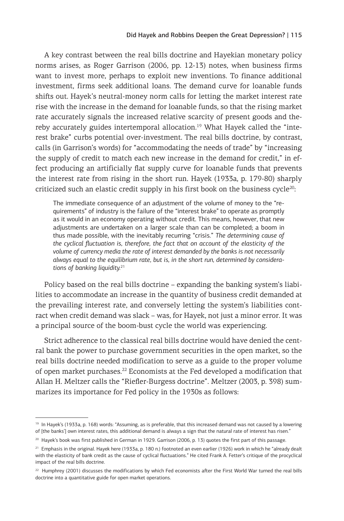A key contrast between the real bills doctrine and Hayekian monetary policy norms arises, as Roger Garrison (2006, pp. 12-13) notes, when business firms want to invest more, perhaps to exploit new inventions. To finance additional investment, firms seek additional loans. The demand curve for loanable funds shifts out. Hayek's neutral-money norm calls for letting the market interest rate rise with the increase in the demand for loanable funds, so that the rising market rate accurately signals the increased relative scarcity of present goods and thereby accurately guides intertemporal allocation.<sup>19</sup> What Hayek called the "interest brake" curbs potential over-investment. The real bills doctrine, by contrast, calls (in Garrison's words) for "accommodating the needs of trade" by "increasing the supply of credit to match each new increase in the demand for credit," in effect producing an artificially flat supply curve for loanable funds that prevents the interest rate from rising in the short run. Hayek (1933a, p. 179-80) sharply criticized such an elastic credit supply in his first book on the business cycle $^{20}$ :

The immediate consequence of an adjustment of the volume of money to the "requirements" of industry is the failure of the "interest brake" to operate as promptly as it would in an economy operating without credit. This means, however, that new adjustments are undertaken on a larger scale than can be completed; a boom in thus made possible, with the inevitably recurring "crisis." *The determining cause of the cyclical fluctuation is, therefore, the fact that on account of the elasticity of the volume of currency media the rate of interest demanded by the banks is not necessarily always equal to the equilibrium rate, but is, in the short run, determined by considerations of banking liquidity.*<sup>21</sup>

Policy based on the real bills doctrine – expanding the banking system's liabilities to accommodate an increase in the quantity of business credit demanded at the prevailing interest rate, and conversely letting the system's liabilities contract when credit demand was slack – was, for Hayek, not just a minor error. It was a principal source of the boom-bust cycle the world was experiencing.

Strict adherence to the classical real bills doctrine would have denied the central bank the power to purchase government securities in the open market, so the real bills doctrine needed modification to serve as a guide to the proper volume of open market purchases.22 Economists at the Fed developed a modification that Allan H. Meltzer calls the "Riefler-Burgess doctrine". Meltzer (2003, p. 398) summarizes its importance for Fed policy in the 1930s as follows:

<sup>&</sup>lt;sup>19</sup> In Hayek's (1933a, p. 168) words: "Assuming, as is preferable, that this increased demand was not caused by a lowering of [the banks'] own interest rates, this additional demand is always a sign that the natural rate of interest has risen."

<sup>&</sup>lt;sup>20</sup> Hayek's book was first published in German in 1929. Garrison (2006, p. 13) quotes the first part of this passage.

<sup>21</sup> Emphasis in the original. Hayek here (1933a, p. 180 n.) footnoted an even earlier (1926) work in which he "already dealt with the elasticity of bank credit as the cause of cyclical fluctuations." He cited Frank A. Fetter's critique of the procyclical impact of the real bills doctrine.

<sup>&</sup>lt;sup>22</sup> Humphrey (2001) discusses the modifications by which Fed economists after the First World War turned the real bills doctrine into a quantitative guide for open market operations.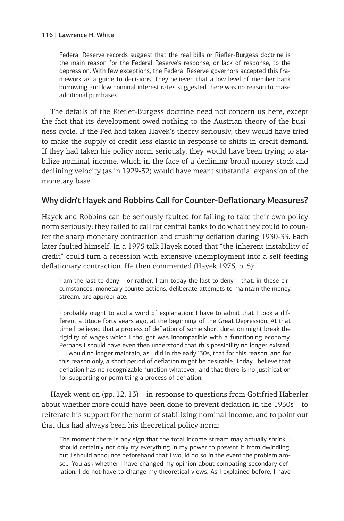Federal Reserve records suggest that the real bills or Riefler-Burgess doctrine is the main reason for the Federal Reserve's response, or lack of response, to the depression. With few exceptions, the Federal Reserve governors accepted this framework as a guide to decisions. They believed that a low level of member bank borrowing and low nominal interest rates suggested there was no reason to make additional purchases.

The details of the Riefler-Burgess doctrine need not concern us here, except the fact that its development owed nothing to the Austrian theory of the business cycle. If the Fed had taken Hayek's theory seriously, they would have tried to make the supply of credit less elastic in response to shifts in credit demand. If they had taken his policy norm seriously, they would have been trying to stabilize nominal income, which in the face of a declining broad money stock and declining velocity (as in 1929-32) would have meant substantial expansion of the monetary base.

## Why didn't Hayek and Robbins Call for Counter-Deflationary Measures?

Hayek and Robbins can be seriously faulted for failing to take their own policy norm seriously: they failed to call for central banks to do what they could to counter the sharp monetary contraction and crushing deflation during 1930-33. Each later faulted himself. In a 1975 talk Hayek noted that "the inherent instability of credit" could turn a recession with extensive unemployment into a self-feeding deflationary contraction. He then commented (Hayek 1975, p. 5):

I am the last to deny – or rather, I am today the last to deny – that, in these circumstances, monetary counteractions, deliberate attempts to maintain the money stream, are appropriate.

I probably ought to add a word of explanation: I have to admit that I took a different attitude forty years ago, at the beginning of the Great Depression. At that time I believed that a process of deflation of some short duration might break the rigidity of wages which I thought was incompatible with a functioning economy. Perhaps I should have even then understood that this possibility no longer existed. … I would no longer maintain, as I did in the early '30s, that for this reason, and for this reason only, a short period of deflation might be desirable. Today I believe that deflation has no recognizable function whatever, and that there is no justification for supporting or permitting a process of deflation.

Hayek went on (pp. 12, 13) – in response to questions from Gottfried Haberler about whether more could have been done to prevent deflation in the 1930s – to reiterate his support for the norm of stabilizing nominal income, and to point out that this had always been his theoretical policy norm:

The moment there is any sign that the total income stream may actually shrink, I should certainly not only try everything in my power to prevent it from dwindling, but I should announce beforehand that I would do so in the event the problem arose… You ask whether I have changed my opinion about combating secondary deflation. I do not have to change my theoretical views. As I explained before, I have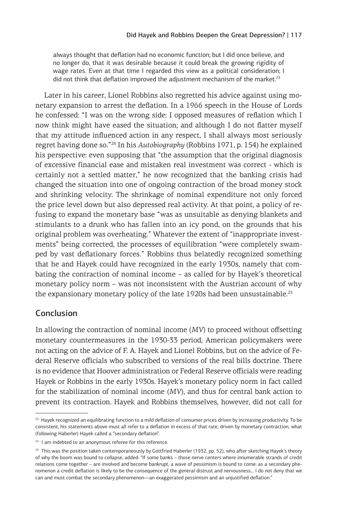always thought that deflation had no economic function; but I did once believe, and no longer do, that it was desirable because it could break the growing rigidity of wage rates. Even at that time I regarded this view as a political consideration; I did not think that deflation improved the adjustment mechanism of the market.<sup>23</sup>

Later in his career, Lionel Robbins also regretted his advice against using monetary expansion to arrest the deflation. In a 1966 speech in the House of Lords he confessed: "I was on the wrong side: I opposed measures of reflation which I now think might have eased the situation; and although I do not flatter myself that my attitude influenced action in any respect, I shall always most seriously regret having done so."24 In his *Autobiography* (Robbins 1971, p. 154) he explained his perspective: even supposing that "the assumption that the original diagnosis of excessive financial ease and mistaken real investment was correct - which is certainly not a settled matter," he now recognized that the banking crisis had changed the situation into one of ongoing contraction of the broad money stock and shrinking velocity. The shrinkage of nominal expenditure not only forced the price level down but also depressed real activity. At that point, a policy of refusing to expand the monetary base "was as unsuitable as denying blankets and stimulants to a drunk who has fallen into an icy pond, on the grounds that his original problem was overheating." Whatever the extent of "inappropriate investments" being corrected, the processes of equilibration "were completely swamped by vast deflationary forces." Robbins thus belatedly recognized something that he and Hayek could have recognized in the early 1930s, namely that combating the contraction of nominal income – as called for by Hayek's theoretical monetary policy norm – was not inconsistent with the Austrian account of why the expansionary monetary policy of the late 1920s had been unsustainable.<sup>25</sup>

## **Conclusion**

In allowing the contraction of nominal income (*MV*) to proceed without offsetting monetary countermeasures in the 1930-33 period, American policymakers were not acting on the advice of F. A. Hayek and Lionel Robbins, but on the advice of Federal Reserve officials who subscribed to versions of the real bills doctrine. There is no evidence that Hoover administration or Federal Reserve officials were reading Hayek or Robbins in the early 1930s. Hayek's monetary policy norm in fact called for the stabilization of nominal income (*MV*), and thus for central bank action to prevent its contraction. Hayek and Robbins themselves, however, did not call for

<sup>&</sup>lt;sup>23</sup> Hayek recognized an equilibrating function to a mild deflation of consumer prices driven by increasing productivity. To be consistent, his statements above must all refer to a deflation in excess of that rate, driven by monetary contraction, what (following Haberler) Hayek called a "secondary deflation".

<sup>&</sup>lt;sup>24</sup> I am indebted to an anonymous referee for this reference.

<sup>&</sup>lt;sup>25</sup> This was the position taken contemporaneously by Gottfried Haberler (1932, pp. 52), who after sketching Hayek's theory of why the boom was bound to collapse, added: "If some banks – those nerve centers where innumerable strands of credit relations come together – are involved and become bankrupt, a wave of pessimism is bound to come: as a secondary phenomenon a credit deflation is likely to be the consequence of the general distrust and nervousness… I do not deny that we can and must combat the secondary phenomenon—an exaggerated pessimism and an unjustified deflation."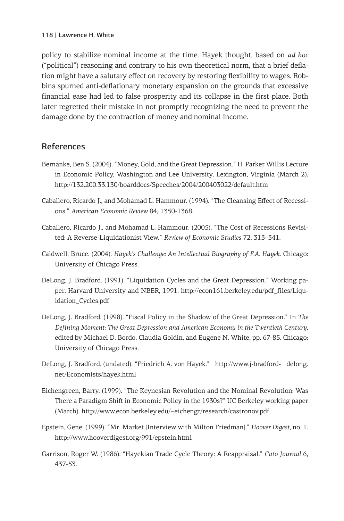policy to stabilize nominal income at the time. Hayek thought, based on *ad hoc* ("political") reasoning and contrary to his own theoretical norm, that a brief deflation might have a salutary effect on recovery by restoring flexibility to wages. Robbins spurned anti-deflationary monetary expansion on the grounds that excessive financial ease had led to false prosperity and its collapse in the first place. Both later regretted their mistake in not promptly recognizing the need to prevent the damage done by the contraction of money and nominal income.

## References

- Bernanke, Ben S. (2004). "Money, Gold, and the Great Depression." H. Parker Willis Lecture in Economic Policy, Washington and Lee University, Lexington, Virginia (March 2). http://132.200.33.130/boarddocs/Speeches/2004/200403022/default.htm
- Caballero, Ricardo J., and Mohamad L. Hammour. (1994). "The Cleansing Effect of Recessions." *American Economic Review* 84, 1350-1368.
- Caballero, Ricardo J., and Mohamad L. Hammour. (2005). "The Cost of Recessions Revisited: A Reverse-Liquidationist View." *Review of Economic Studies* 72, 313–341.
- Caldwell, Bruce. (2004). *Hayek's Challenge: An Intellectual Biography of F.A. Hayek*. Chicago: University of Chicago Press.
- DeLong, J. Bradford. (1991). "Liquidation Cycles and the Great Depression." Working paper, Harvard University and NBER, 1991. http://econ161.berkeley.edu/pdf\_files/Liquidation\_Cycles.pdf
- DeLong, J. Bradford. (1998). "Fiscal Policy in the Shadow of the Great Depression." In *The Defining Moment: The Great Depression and American Economy in the Twentieth Century*, edited by Michael D. Bordo, Claudia Goldin, and Eugene N. White, pp. 67-85. Chicago: University of Chicago Press.
- DeLong, J. Bradford. (undated). "Friedrich A. von Hayek." http://www.j-bradford- delong. net/Economists/hayek.html
- Eichengreen, Barry. (1999). "The Keynesian Revolution and the Nominal Revolution: Was There a Paradigm Shift in Economic Policy in the 1930s?" UC Berkeley working paper (March). http://www.econ.berkeley.edu/~eichengr/research/castronov.pdf
- Epstein, Gene. (1999). "Mr. Market [Interview with Milton Friedman]." *Hoover Digest*, no. 1. http://www.hooverdigest.org/991/epstein.html
- Garrison, Roger W. (1986). "Hayekian Trade Cycle Theory: A Reappraisal." *Cato Journal* 6, 437-53.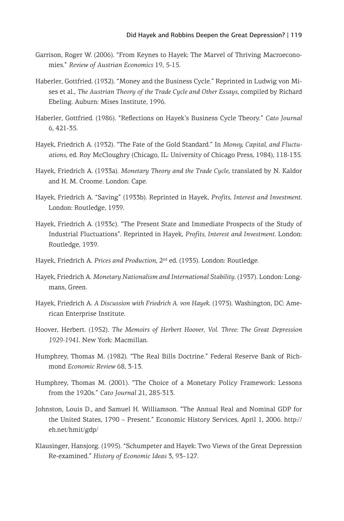- Garrison, Roger W. (2006). "From Keynes to Hayek: The Marvel of Thriving Macroeconomies." *Review of Austrian Economics* 19, 5-15.
- Haberler, Gottfried. (1932). "Money and the Business Cycle." Reprinted in Ludwig von Mises et al., *The Austrian Theory of the Trade Cycle and Other Essays*, compiled by Richard Ebeling. Auburn: Mises Institute, 1996.
- Haberler, Gottfried. (1986). "Reflections on Hayek's Business Cycle Theory." *Cato Journal* 6, 421-35.
- Hayek, Friedrich A. (1932). "The Fate of the Gold Standard." In *Money, Capital, and Fluctuations*, ed. Roy McCloughry (Chicago, IL: University of Chicago Press, 1984), 118-135.
- Hayek, Friedrich A. (1933a). *Monetary Theory and the Trade Cycle*, translated by N. Kaldor and H. M. Croome. London: Cape.
- Hayek, Friedrich A. "Saving" (1933b). Reprinted in Hayek, *Profits, Interest and Investment*. London: Routledge, 1939.
- Hayek, Friedrich A. (1933c). "The Present State and Immediate Prospects of the Study of Industrial Fluctuations". Reprinted in Hayek, *Profits, Interest and Investment*. London: Routledge, 1939.
- Hayek, Friedrich A. Prices and Production, 2<sup>nd</sup> ed. (1935). London: Routledge.
- Hayek, Friedrich A. *Monetary Nationalism and International Stability*. (1937). London: Longmans, Green.
- Hayek, Friedrich A. *A Discussion with Friedrich A. von Hayek*. (1975). Washington, DC: American Enterprise Institute.
- Hoover, Herbert. (1952). *The Memoirs of Herbert Hoover, Vol. Three: The Great Depression 1929-1941*. New York: Macmillan.
- Humphrey, Thomas M. (1982). "The Real Bills Doctrine." Federal Reserve Bank of Richmond *Economic Review* 68, 3-13.
- Humphrey, Thomas M. (2001). "The Choice of a Monetary Policy Framework: Lessons from the 1920s." *Cato Journal* 21, 285-313.
- Johnston, Louis D., and Samuel H. Williamson. "The Annual Real and Nominal GDP for the United States, 1790 – Present." Economic History Services, April 1, 2006. http:// eh.net/hmit/gdp/
- Klausinger, Hansjorg. (1995). "Schumpeter and Hayek: Two Views of the Great Depression Re-examined." *History of Economic Ideas* 3, 93–127.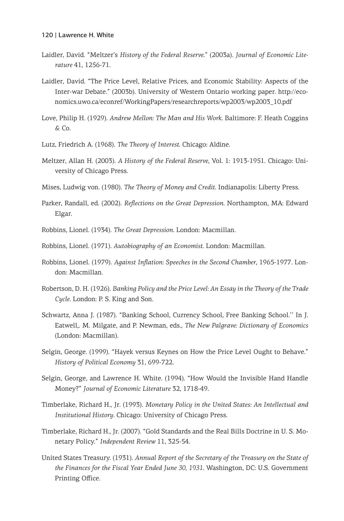- Laidler, David. "Meltzer's *History of the Federal Reserve*." (2003a). *Journal of Economic Literature* 41, 1256-71.
- Laidler, David. "The Price Level, Relative Prices, and Economic Stability: Aspects of the Inter-war Debate." (2003b). University of Western Ontario working paper. http://economics.uwo.ca/econref/WorkingPapers/researchreports/wp2003/wp2003\_10.pdf
- Love, Philip H. (1929). *Andrew Mellon: The Man and His Work*. Baltimore: F. Heath Coggins & Co.
- Lutz, Friedrich A. (1968). *The Theory of Interest*. Chicago: Aldine.
- Meltzer, Allan H. (2003). *A History of the Federal Reserve*, Vol. 1: 1913-1951. Chicago: University of Chicago Press.
- Mises, Ludwig von. (1980). *The Theory of Money and Credit*. Indianapolis: Liberty Press.
- Parker, Randall, ed. (2002). *Reflections on the Great Depression*. Northampton, MA: Edward Elgar.
- Robbins, Lionel. (1934). *The Great Depression*. London: Macmillan.
- Robbins, Lionel. (1971). *Autobiography of an Economist*. London: Macmillan.
- Robbins, Lionel. (1979). *Against Inflation: Speeches in the Second Chamber*, 1965-1977. London: Macmillan.
- Robertson, D. H. (1926). *Banking Policy and the Price Level: An Essay in the Theory of the Trade Cycle*. London: P. S. King and Son.
- Schwartz, Anna J. (1987). "Banking School, Currency School, Free Banking School.'' In J. Eatwell,. M. Milgate, and P. Newman, eds., *The New Palgrave: Dictionary of Economics* (London: Macmillan).
- Selgin, George. (1999). "Hayek versus Keynes on How the Price Level Ought to Behave." *History of Political Economy* 31, 699-722.
- Selgin, George, and Lawrence H. White. (1994). "How Would the Invisible Hand Handle Money?" *Journal of Economic Literature* 32, 1718-49.
- Timberlake, Richard H., Jr. (1993). *Monetary Policy in the United States: An Intellectual and Institutional History*. Chicago: University of Chicago Press.
- Timberlake, Richard H., Jr. (2007). "Gold Standards and the Real Bills Doctrine in U. S. Monetary Policy." *Independent Review* 11, 325-54.
- United States Treasury. (1931). *Annual Report of the Secretary of the Treasury on the State of the Finances for the Fiscal Year Ended June 30, 1931*. Washington, DC: U.S. Government Printing Office.